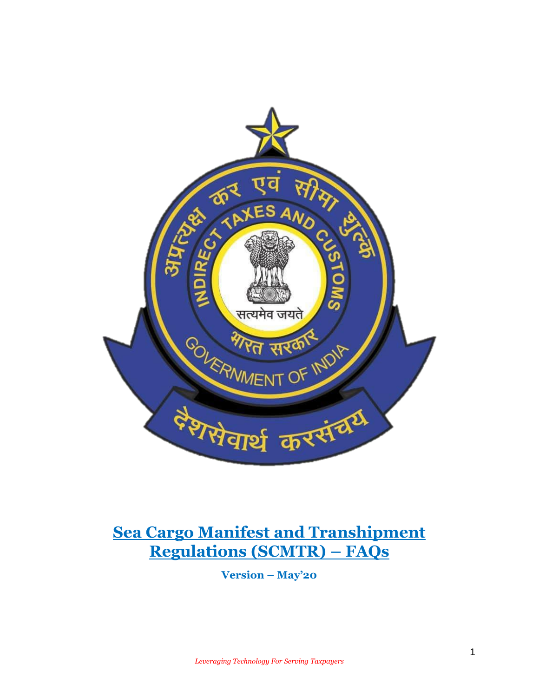

# **Sea Cargo Manifest and Transhipment Regulations (SCMTR) – FAQs**

**Version – May'20**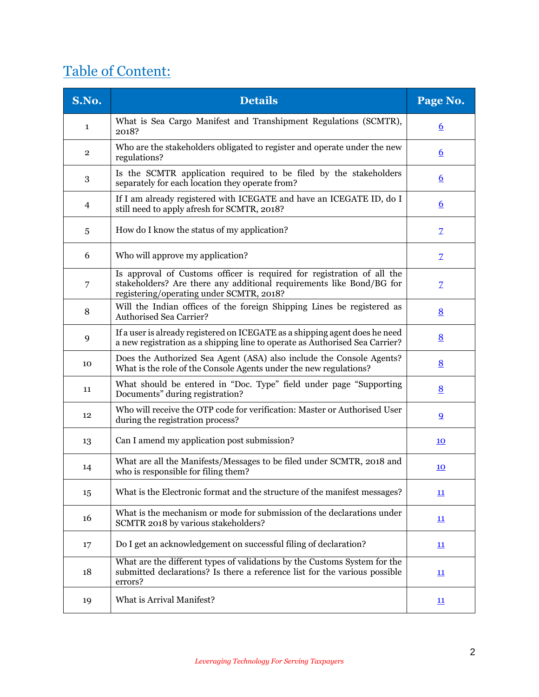# Table of Content:

| S.No.            | <b>Details</b>                                                                                                                                                                             | Page No.                  |
|------------------|--------------------------------------------------------------------------------------------------------------------------------------------------------------------------------------------|---------------------------|
| 1                | What is Sea Cargo Manifest and Transhipment Regulations (SCMTR),<br>2018?                                                                                                                  | <u>6</u>                  |
| $\overline{2}$   | Who are the stakeholders obligated to register and operate under the new<br>regulations?                                                                                                   | $6\overline{6}$           |
| $\boldsymbol{3}$ | Is the SCMTR application required to be filed by the stakeholders<br>separately for each location they operate from?                                                                       | $6\overline{6}$           |
| 4                | If I am already registered with ICEGATE and have an ICEGATE ID, do I<br>still need to apply afresh for SCMTR, 2018?                                                                        | $6\overline{6}$           |
| 5                | How do I know the status of my application?                                                                                                                                                | $\overline{Z}$            |
| 6                | Who will approve my application?                                                                                                                                                           | $\overline{Z}$            |
| 7                | Is approval of Customs officer is required for registration of all the<br>stakeholders? Are there any additional requirements like Bond/BG for<br>registering/operating under SCMTR, 2018? | Z                         |
| 8                | Will the Indian offices of the foreign Shipping Lines be registered as<br><b>Authorised Sea Carrier?</b>                                                                                   | 8                         |
| 9                | If a user is already registered on ICEGATE as a shipping agent does he need<br>a new registration as a shipping line to operate as Authorised Sea Carrier?                                 | 8                         |
| 10               | Does the Authorized Sea Agent (ASA) also include the Console Agents?<br>What is the role of the Console Agents under the new regulations?                                                  | 8                         |
| 11               | What should be entered in "Doc. Type" field under page "Supporting<br>Documents" during registration?                                                                                      | 8                         |
| 12               | Who will receive the OTP code for verification: Master or Authorised User<br>during the registration process?                                                                              | $\overline{9}$            |
| 13               | Can I amend my application post submission?                                                                                                                                                | <u>10</u>                 |
| 14               | What are all the Manifests/Messages to be filed under SCMTR, 2018 and<br>who is responsible for filing them?                                                                               | 10                        |
| 15               | What is the Electronic format and the structure of the manifest messages?                                                                                                                  | $\mathbf{\underline{11}}$ |
| 16               | What is the mechanism or mode for submission of the declarations under<br>SCMTR 2018 by various stakeholders?                                                                              | $\underline{11}$          |
| 17               | Do I get an acknowledgement on successful filing of declaration?                                                                                                                           | $\mathbf{\underline{11}}$ |
| 18               | What are the different types of validations by the Customs System for the<br>submitted declarations? Is there a reference list for the various possible<br>errors?                         | $\underline{11}$          |
| 19               | What is Arrival Manifest?                                                                                                                                                                  | $\overline{\mathbf{11}}$  |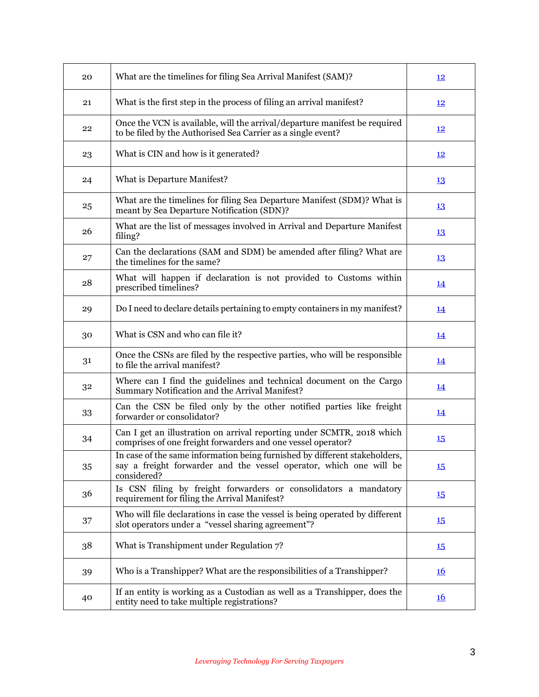| 20 | What are the timelines for filing Sea Arrival Manifest (SAM)?                                                                                                   | 12               |
|----|-----------------------------------------------------------------------------------------------------------------------------------------------------------------|------------------|
| 21 | What is the first step in the process of filing an arrival manifest?                                                                                            | <u>12</u>        |
| 22 | Once the VCN is available, will the arrival/departure manifest be required<br>to be filed by the Authorised Sea Carrier as a single event?                      | 12               |
| 23 | What is CIN and how is it generated?                                                                                                                            | <u>12</u>        |
| 24 | What is Departure Manifest?                                                                                                                                     | 13               |
| 25 | What are the timelines for filing Sea Departure Manifest (SDM)? What is<br>meant by Sea Departure Notification (SDN)?                                           | 13               |
| 26 | What are the list of messages involved in Arrival and Departure Manifest<br>filing?                                                                             | 13               |
| 27 | Can the declarations (SAM and SDM) be amended after filing? What are<br>the timelines for the same?                                                             | 13               |
| 28 | What will happen if declaration is not provided to Customs within<br>prescribed timelines?                                                                      | <u>14</u>        |
| 29 | Do I need to declare details pertaining to empty containers in my manifest?                                                                                     | 14               |
| 30 | What is CSN and who can file it?                                                                                                                                | <u>14</u>        |
| 31 | Once the CSNs are filed by the respective parties, who will be responsible<br>to file the arrival manifest?                                                     | 14               |
| 32 | Where can I find the guidelines and technical document on the Cargo<br>Summary Notification and the Arrival Manifest?                                           | <u>14</u>        |
| 33 | Can the CSN be filed only by the other notified parties like freight<br>forwarder or consolidator?                                                              | <u>14</u>        |
| 34 | Can I get an illustration on arrival reporting under SCMTR, 2018 which<br>comprises of one freight forwarders and one vessel operator?                          | 15               |
| 35 | In case of the same information being furnished by different stakeholders,<br>say a freight forwarder and the vessel operator, which one will be<br>considered? | $15\phantom{.0}$ |
| 36 | Is CSN filing by freight forwarders or consolidators a mandatory<br>requirement for filing the Arrival Manifest?                                                | <b>15</b>        |
| 37 | Who will file declarations in case the vessel is being operated by different<br>slot operators under a "vessel sharing agreement"?                              | <b>15</b>        |
| 38 | What is Transhipment under Regulation 7?                                                                                                                        | 15               |
| 39 | Who is a Transhipper? What are the responsibilities of a Transhipper?                                                                                           | <u>16</u>        |
| 40 | If an entity is working as a Custodian as well as a Transhipper, does the<br>entity need to take multiple registrations?                                        | <u>16</u>        |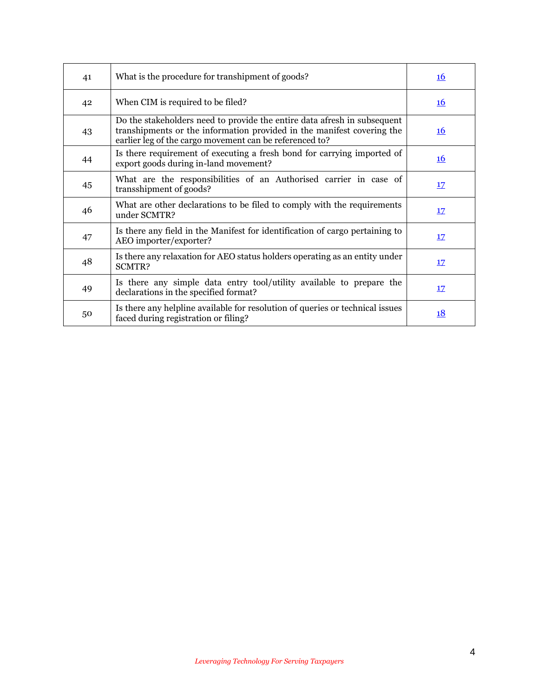| 41 | What is the procedure for transhipment of goods?                                                                                                                                                              | <b>16</b> |
|----|---------------------------------------------------------------------------------------------------------------------------------------------------------------------------------------------------------------|-----------|
| 42 | When CIM is required to be filed?                                                                                                                                                                             | <u>16</u> |
| 43 | Do the stakeholders need to provide the entire data afresh in subsequent<br>transhipments or the information provided in the manifest covering the<br>earlier leg of the cargo movement can be referenced to? | <u>16</u> |
| 44 | Is there requirement of executing a fresh bond for carrying imported of<br>export goods during in-land movement?                                                                                              | <u>16</u> |
| 45 | What are the responsibilities of an Authorised carrier in case of<br>transshipment of goods?                                                                                                                  | 17        |
| 46 | What are other declarations to be filed to comply with the requirements<br>under SCMTR?                                                                                                                       | 17        |
| 47 | Is there any field in the Manifest for identification of cargo pertaining to<br>AEO importer/exporter?                                                                                                        | <u>17</u> |
| 48 | Is there any relaxation for AEO status holders operating as an entity under<br>SCMTR?                                                                                                                         | 17        |
| 49 | Is there any simple data entry tool/utility available to prepare the<br>declarations in the specified format?                                                                                                 | <u>17</u> |
| 50 | Is there any helpline available for resolution of queries or technical issues<br>faced during registration or filing?                                                                                         | <u>18</u> |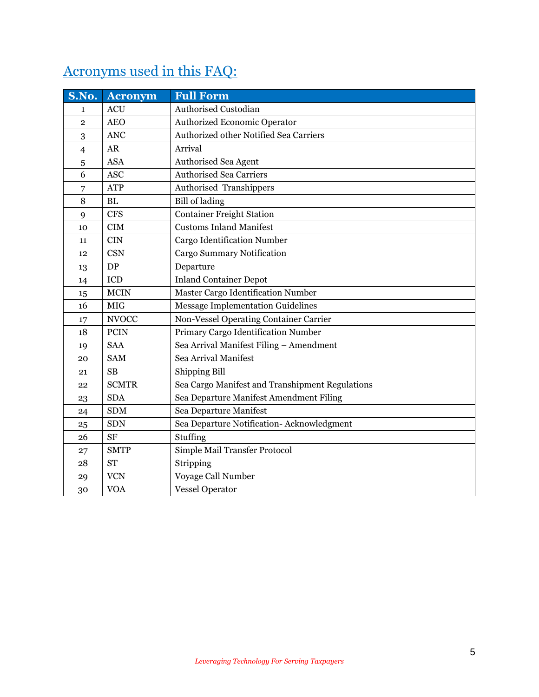# Acronyms used in this FAQ:

| S.No.          | <b>Acronym</b> | <b>Full Form</b>                                |
|----------------|----------------|-------------------------------------------------|
| $\mathbf{1}$   | <b>ACU</b>     | Authorised Custodian                            |
| $\overline{2}$ | <b>AEO</b>     | Authorized Economic Operator                    |
| 3              | <b>ANC</b>     | Authorized other Notified Sea Carriers          |
| $\overline{4}$ | <b>AR</b>      | Arrival                                         |
| 5              | <b>ASA</b>     | Authorised Sea Agent                            |
| 6              | <b>ASC</b>     | <b>Authorised Sea Carriers</b>                  |
| 7              | <b>ATP</b>     | Authorised Transhippers                         |
| 8              | $\mathbf{BL}$  | <b>Bill</b> of lading                           |
| 9              | <b>CFS</b>     | <b>Container Freight Station</b>                |
| 10             | CIM            | <b>Customs Inland Manifest</b>                  |
| 11             | <b>CIN</b>     | <b>Cargo Identification Number</b>              |
| 12             | <b>CSN</b>     | <b>Cargo Summary Notification</b>               |
| 13             | DP             | Departure                                       |
| 14             | ICD            | <b>Inland Container Depot</b>                   |
| 15             | <b>MCIN</b>    | Master Cargo Identification Number              |
| 16             | <b>MIG</b>     | <b>Message Implementation Guidelines</b>        |
| 17             | <b>NVOCC</b>   | Non-Vessel Operating Container Carrier          |
| 18             | <b>PCIN</b>    | Primary Cargo Identification Number             |
| 19             | <b>SAA</b>     | Sea Arrival Manifest Filing - Amendment         |
| 20             | <b>SAM</b>     | Sea Arrival Manifest                            |
| 21             | SB             | Shipping Bill                                   |
| 22             | <b>SCMTR</b>   | Sea Cargo Manifest and Transhipment Regulations |
| 23             | <b>SDA</b>     | Sea Departure Manifest Amendment Filing         |
| 24             | <b>SDM</b>     | Sea Departure Manifest                          |
| 25             | <b>SDN</b>     | Sea Departure Notification- Acknowledgment      |
| 26             | <b>SF</b>      | Stuffing                                        |
| 27             | <b>SMTP</b>    | Simple Mail Transfer Protocol                   |
| 28             | <b>ST</b>      | Stripping                                       |
| 29             | <b>VCN</b>     | Voyage Call Number                              |
| 30             | <b>VOA</b>     | <b>Vessel Operator</b>                          |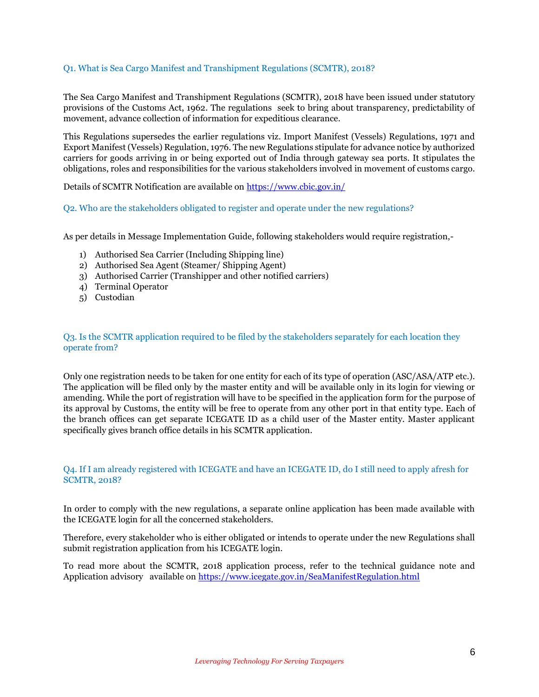## <span id="page-5-0"></span>Q1. What is Sea Cargo Manifest and Transhipment Regulations (SCMTR), 2018?

The Sea Cargo Manifest and Transhipment Regulations (SCMTR), 2018 have been issued under statutory provisions of the Customs Act, 1962. The regulations seek to bring about transparency, predictability of movement, advance collection of information for expeditious clearance.

This Regulations supersedes the earlier regulations viz. Import Manifest (Vessels) Regulations, 1971 and Export Manifest (Vessels) Regulation, 1976. The new Regulations stipulate for advance notice by authorized carriers for goods arriving in or being exported out of India through gateway sea ports. It stipulates the obligations, roles and responsibilities for the various stakeholders involved in movement of customs cargo.

Details of SCMTR Notification are available on <https://www.cbic.gov.in/>

<span id="page-5-1"></span>Q2. Who are the stakeholders obligated to register and operate under the new regulations?

As per details in Message Implementation Guide, following stakeholders would require registration,-

- 1) Authorised Sea Carrier (Including Shipping line)
- 2) Authorised Sea Agent (Steamer/ Shipping Agent)
- 3) Authorised Carrier (Transhipper and other notified carriers)
- 4) Terminal Operator
- 5) Custodian

## <span id="page-5-2"></span>Q3. Is the SCMTR application required to be filed by the stakeholders separately for each location they operate from?

Only one registration needs to be taken for one entity for each of its type of operation (ASC/ASA/ATP etc.). The application will be filed only by the master entity and will be available only in its login for viewing or amending. While the port of registration will have to be specified in the application form for the purpose of its approval by Customs, the entity will be free to operate from any other port in that entity type. Each of the branch offices can get separate ICEGATE ID as a child user of the Master entity. Master applicant specifically gives branch office details in his SCMTR application.

## <span id="page-5-3"></span>Q4. If I am already registered with ICEGATE and have an ICEGATE ID, do I still need to apply afresh for SCMTR, 2018?

In order to comply with the new regulations, a separate online application has been made available with the ICEGATE login for all the concerned stakeholders.

Therefore, every stakeholder who is either obligated or intends to operate under the new Regulations shall submit registration application from his ICEGATE login.

To read more about the SCMTR, 2018 application process, refer to the technical guidance note and Application advisory available on<https://www.icegate.gov.in/SeaManifestRegulation.html>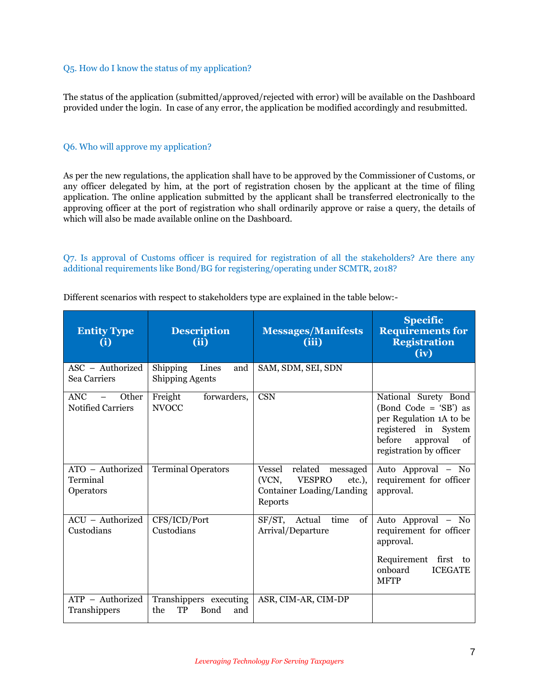## <span id="page-6-0"></span>Q5. How do I know the status of my application?

The status of the application (submitted/approved/rejected with error) will be available on the Dashboard provided under the login. In case of any error, the application be modified accordingly and resubmitted.

#### <span id="page-6-1"></span>Q6. Who will approve my application?

As per the new regulations, the application shall have to be approved by the Commissioner of Customs, or any officer delegated by him, at the port of registration chosen by the applicant at the time of filing application. The online application submitted by the applicant shall be transferred electronically to the approving officer at the port of registration who shall ordinarily approve or raise a query, the details of which will also be made available online on the Dashboard.

<span id="page-6-2"></span>Q7. Is approval of Customs officer is required for registration of all the stakeholders? Are there any additional requirements like Bond/BG for registering/operating under SCMTR, 2018?

| <b>Entity Type</b><br>(i)                       | <b>Description</b><br>(ii)                                | <b>Messages/Manifests</b><br>(iii)                                                                           | <b>Specific</b><br><b>Requirements for</b><br><b>Registration</b><br>(iv)                                                                            |
|-------------------------------------------------|-----------------------------------------------------------|--------------------------------------------------------------------------------------------------------------|------------------------------------------------------------------------------------------------------------------------------------------------------|
| ASC - Authorized<br>Sea Carriers                | Shipping<br>Lines<br>and<br><b>Shipping Agents</b>        | SAM, SDM, SEI, SDN                                                                                           |                                                                                                                                                      |
| <b>ANC</b><br>Other<br><b>Notified Carriers</b> | Freight<br>forwarders,<br><b>NVOCC</b>                    | <b>CSN</b>                                                                                                   | National Surety Bond<br>(Bond Code = 'SB') as<br>per Regulation 1A to be<br>registered in System<br>before<br>approval of<br>registration by officer |
| ATO - Authorized<br>Terminal<br>Operators       | Terminal Operators                                        | related<br>Vessel<br>messaged<br>(VCN,<br><b>VESPRO</b><br>$etc.$ ),<br>Container Loading/Landing<br>Reports | Auto Approval - No<br>requirement for officer<br>approval.                                                                                           |
| ACU - Authorized<br>Custodians                  | CFS/ICD/Port<br>Custodians                                | SF/ST, Actual<br>time<br>of<br>Arrival/Departure                                                             | Auto Approval - No<br>requirement for officer<br>approval.                                                                                           |
|                                                 |                                                           |                                                                                                              | Requirement first to<br>onboard<br><b>ICEGATE</b><br><b>MFTP</b>                                                                                     |
| $ATP - Authorized$<br>Transhippers              | Transhippers executing<br><b>TP</b><br>Bond<br>the<br>and | ASR, CIM-AR, CIM-DP                                                                                          |                                                                                                                                                      |

Different scenarios with respect to stakeholders type are explained in the table below:-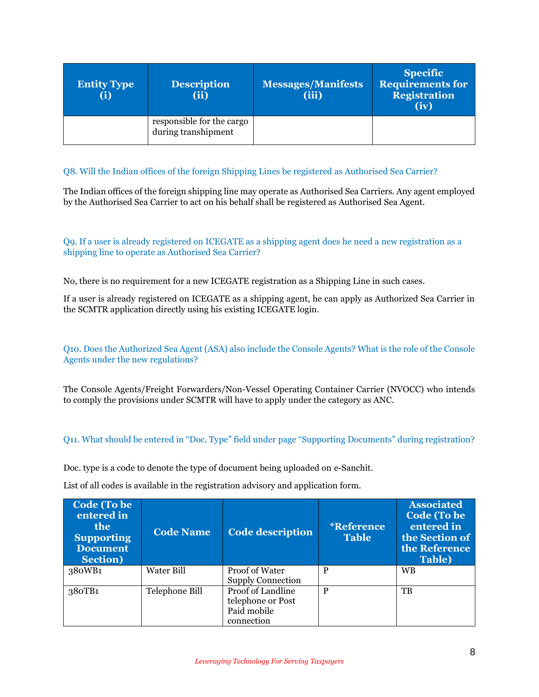| <b>Entity Type</b><br>(i) | <b>Description</b><br>(ii)                       | <b>Messages/Manifests</b><br>(iii) | <b>Specific</b><br><b>Requirements for</b><br><b>Registration</b><br>(iv) |
|---------------------------|--------------------------------------------------|------------------------------------|---------------------------------------------------------------------------|
|                           | responsible for the cargo<br>during transhipment |                                    |                                                                           |

## <span id="page-7-0"></span>Q8. Will the Indian offices of the foreign Shipping Lines be registered as Authorised Sea Carrier?

The Indian offices of the foreign shipping line may operate as Authorised Sea Carriers. Any agent employed by the Authorised Sea Carrier to act on his behalf shall be registered as Authorised Sea Agent.

## <span id="page-7-1"></span>Q9. If a user is already registered on ICEGATE as a shipping agent does he need a new registration as a shipping line to operate as Authorised Sea Carrier?

No, there is no requirement for a new ICEGATE registration as a Shipping Line in such cases.

If a user is already registered on ICEGATE as a shipping agent, he can apply as Authorized Sea Carrier in the SCMTR application directly using his existing ICEGATE login.

<span id="page-7-2"></span>Q10. Does the Authorized Sea Agent (ASA) also include the Console Agents? What is the role of the Console Agents under the new regulations?

The Console Agents/Freight Forwarders/Non-Vessel Operating Container Carrier (NVOCC) who intends to comply the provisions under SCMTR will have to apply under the category as ANC.

## <span id="page-7-3"></span>Q11. What should be entered in "Doc. Type" field under page "Supporting Documents" during registration?

Doc. type is a code to denote the type of document being uploaded on e-Sanchit.

List of all codes is available in the registration advisory and application form.

| <b>Code (To be)</b><br>entered in<br><b>the</b><br><b>Supporting</b><br><b>Document</b><br><b>Section</b> ) | <b>Code Name</b> | <b>Code description</b>                                             | <i><b>*Reference</b></i><br><b>Table</b> | <b>Associated</b><br><b>Code (To be)</b><br>entered in<br>the Section of<br>the Reference<br><b>Table</b> ) |
|-------------------------------------------------------------------------------------------------------------|------------------|---------------------------------------------------------------------|------------------------------------------|-------------------------------------------------------------------------------------------------------------|
| 380WB1                                                                                                      | Water Bill       | Proof of Water<br><b>Supply Connection</b>                          | P                                        | <b>WB</b>                                                                                                   |
| 380TB1                                                                                                      | Telephone Bill   | Proof of Landline<br>telephone or Post<br>Paid mobile<br>connection | P                                        | TB                                                                                                          |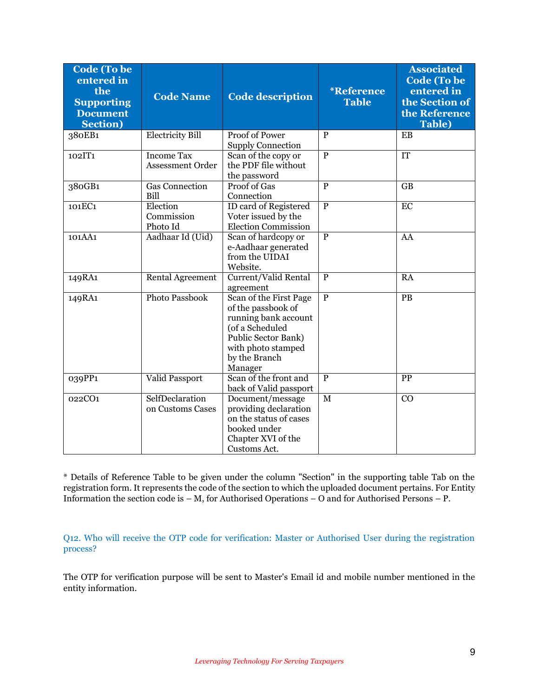| <b>Code (To be</b><br>entered in<br>the<br><b>Supporting</b><br><b>Document</b><br><b>Section</b> ) | <b>Code Name</b>                      | <b>Code</b> description                                                                                                                                          | <i><b>*Reference</b></i><br><b>Table</b> | <b>Associated</b><br><b>Code (To be</b><br>entered in<br>the Section of<br>the Reference<br>Table) |
|-----------------------------------------------------------------------------------------------------|---------------------------------------|------------------------------------------------------------------------------------------------------------------------------------------------------------------|------------------------------------------|----------------------------------------------------------------------------------------------------|
| 380EB1                                                                                              | <b>Electricity Bill</b>               | Proof of Power<br><b>Supply Connection</b>                                                                                                                       | $\mathbf{P}$                             | EB                                                                                                 |
| 102IT1                                                                                              | <b>Income Tax</b><br>Assessment Order | Scan of the copy or<br>the PDF file without<br>the password                                                                                                      | $\overline{P}$                           | <b>IT</b>                                                                                          |
| $380G\overline{B1}$                                                                                 | <b>Gas Connection</b><br>Bill         | Proof of Gas<br>Connection                                                                                                                                       | $\overline{P}$                           | $\overline{GB}$                                                                                    |
| 101EC1                                                                                              | Election<br>Commission<br>Photo Id    | <b>ID</b> card of Registered<br>Voter issued by the<br><b>Election Commission</b>                                                                                | $\overline{P}$                           | EC                                                                                                 |
| 101AA1                                                                                              | Aadhaar Id (Uid)                      | Scan of hardcopy or<br>e-Aadhaar generated<br>from the UIDAI<br>Website.                                                                                         | $\overline{P}$                           | AA                                                                                                 |
| 149RA1                                                                                              | <b>Rental Agreement</b>               | Current/Valid Rental<br>agreement                                                                                                                                | $\overline{P}$                           | <b>RA</b>                                                                                          |
| 149RA1                                                                                              | Photo Passbook                        | Scan of the First Page<br>of the passbook of<br>running bank account<br>(of a Scheduled<br>Public Sector Bank)<br>with photo stamped<br>by the Branch<br>Manager | $\overline{P}$                           | PB                                                                                                 |
| 039PP1                                                                                              | Valid Passport                        | Scan of the front and<br>back of Valid passport                                                                                                                  | $\overline{P}$                           | PP                                                                                                 |
| 022CO1                                                                                              | SelfDeclaration<br>on Customs Cases   | Document/message<br>providing declaration<br>on the status of cases<br>booked under<br>Chapter XVI of the<br>Customs Act.                                        | M                                        | CO                                                                                                 |

\* Details of Reference Table to be given under the column "Section" in the supporting table Tab on the registration form. It represents the code of the section to which the uploaded document pertains. For Entity Information the section code is – M, for Authorised Operations – O and for Authorised Persons – P.

<span id="page-8-0"></span>Q12. Who will receive the OTP code for verification: Master or Authorised User during the registration process?

The OTP for verification purpose will be sent to Master's Email id and mobile number mentioned in the entity information.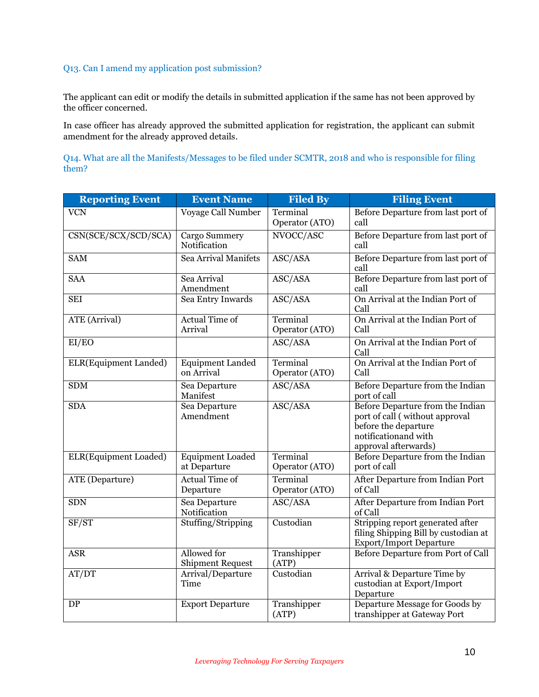## <span id="page-9-0"></span>Q13. Can I amend my application post submission?

The applicant can edit or modify the details in submitted application if the same has not been approved by the officer concerned.

In case officer has already approved the submitted application for registration, the applicant can submit amendment for the already approved details.

<span id="page-9-1"></span>Q14. What are all the Manifests/Messages to be filed under SCMTR, 2018 and who is responsible for filing them?

| <b>Reporting Event</b> | <b>Event Name</b>                       | <b>Filed By</b>                    | <b>Filing Event</b>                                                                                                                         |
|------------------------|-----------------------------------------|------------------------------------|---------------------------------------------------------------------------------------------------------------------------------------------|
| <b>VCN</b>             | Voyage Call Number                      | Terminal<br>Operator (ATO)         | Before Departure from last port of<br>call                                                                                                  |
| CSN(SCE/SCX/SCD/SCA)   | Cargo Summery<br>Notification           | NVOCC/ASC                          | Before Departure from last port of<br>call                                                                                                  |
| <b>SAM</b>             | Sea Arrival Manifets                    | ASC/ASA                            | Before Departure from last port of<br>call                                                                                                  |
| <b>SAA</b>             | Sea Arrival<br>Amendment                | $\overline{\text{ASC}/\text{ASA}}$ | Before Departure from last port of<br>call                                                                                                  |
| <b>SEI</b>             | Sea Entry Inwards                       | ASC/ASA                            | On Arrival at the Indian Port of<br>Call                                                                                                    |
| <b>ATE</b> (Arrival)   | <b>Actual Time of</b><br>Arrival        | Terminal<br>Operator (ATO)         | On Arrival at the Indian Port of<br>Call                                                                                                    |
| EI/EO                  |                                         | ASC/ASA                            | On Arrival at the Indian Port of<br>Call                                                                                                    |
| ELR(Equipment Landed)  | <b>Equipment Landed</b><br>on Arrival   | Terminal<br>Operator (ATO)         | On Arrival at the Indian Port of<br>Call                                                                                                    |
| <b>SDM</b>             | Sea Departure<br>Manifest               | ASC/ASA                            | Before Departure from the Indian<br>port of call                                                                                            |
| <b>SDA</b>             | Sea Departure<br>Amendment              | ASC/ASA                            | Before Departure from the Indian<br>port of call (without approval<br>before the departure<br>notification and with<br>approval afterwards) |
| ELR(Equipment Loaded)  | <b>Equipment Loaded</b><br>at Departure | Terminal<br>Operator (ATO)         | Before Departure from the Indian<br>port of call                                                                                            |
| ATE (Departure)        | <b>Actual Time of</b><br>Departure      | Terminal<br>Operator (ATO)         | After Departure from Indian Port<br>of Call                                                                                                 |
| <b>SDN</b>             | Sea Departure<br>Notification           | ASC/ASA                            | After Departure from Indian Port<br>of Call                                                                                                 |
| SF/ST                  | Stuffing/Stripping                      | Custodian                          | Stripping report generated after<br>filing Shipping Bill by custodian at<br><b>Export/Import Departure</b>                                  |
| <b>ASR</b>             | Allowed for<br><b>Shipment Request</b>  | Transhipper<br>(ATP)               | Before Departure from Port of Call                                                                                                          |
| AT/DT                  | Arrival/Departure<br>Time               | Custodian                          | Arrival & Departure Time by<br>custodian at Export/Import<br>Departure                                                                      |
| ${\rm DP}$             | <b>Export Departure</b>                 | Transhipper<br>(ATP)               | Departure Message for Goods by<br>transhipper at Gateway Port                                                                               |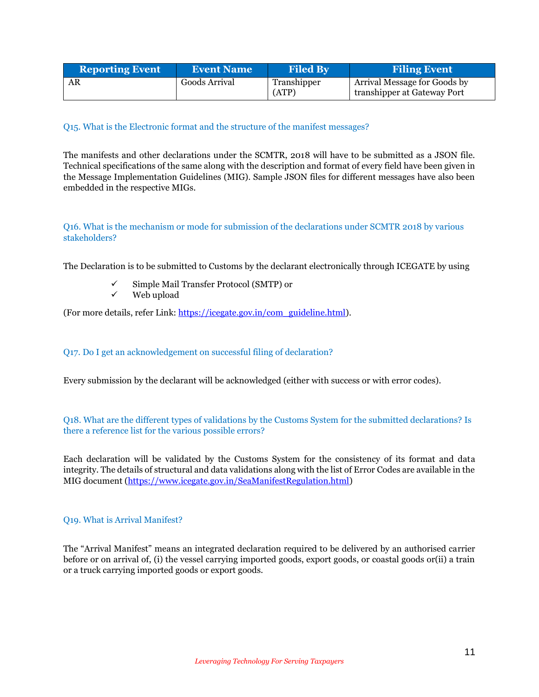| <b>Reporting Event</b> | <b>Event Name</b> | <b>Filed By</b>      | <b>Filing Event</b>                                         |
|------------------------|-------------------|----------------------|-------------------------------------------------------------|
| AR                     | Goods Arrival     | Transhipper<br>(ATP) | Arrival Message for Goods by<br>transhipper at Gateway Port |

## <span id="page-10-0"></span>Q15. What is the Electronic format and the structure of the manifest messages?

The manifests and other declarations under the SCMTR, 2018 will have to be submitted as a JSON file. Technical specifications of the same along with the description and format of every field have been given in the Message Implementation Guidelines (MIG). Sample JSON files for different messages have also been embedded in the respective MIGs.

## <span id="page-10-1"></span>Q16. What is the mechanism or mode for submission of the declarations under SCMTR 2018 by various stakeholders?

The Declaration is to be submitted to Customs by the declarant electronically through ICEGATE by using

- Simple Mail Transfer Protocol (SMTP) or
- $\checkmark$  Web upload

(For more details, refer Link: [https://icegate.gov.in/com\\_guideline.html\)](https://icegate.gov.in/com_guideline.html).

## <span id="page-10-2"></span>Q17. Do I get an acknowledgement on successful filing of declaration?

Every submission by the declarant will be acknowledged (either with success or with error codes).

## <span id="page-10-3"></span>Q18. What are the different types of validations by the Customs System for the submitted declarations? Is there a reference list for the various possible errors?

Each declaration will be validated by the Customs System for the consistency of its format and data integrity. The details of structural and data validations along with the list of Error Codes are available in the MIG document [\(https://www.icegate.gov.in/SeaManifestRegulation.html\)](https://www.icegate.gov.in/SeaManifestRegulation.html)

#### <span id="page-10-4"></span>Q19. What is Arrival Manifest?

The "Arrival Manifest" means an integrated declaration required to be delivered by an authorised carrier before or on arrival of, (i) the vessel carrying imported goods, export goods, or coastal goods or(ii) a train or a truck carrying imported goods or export goods.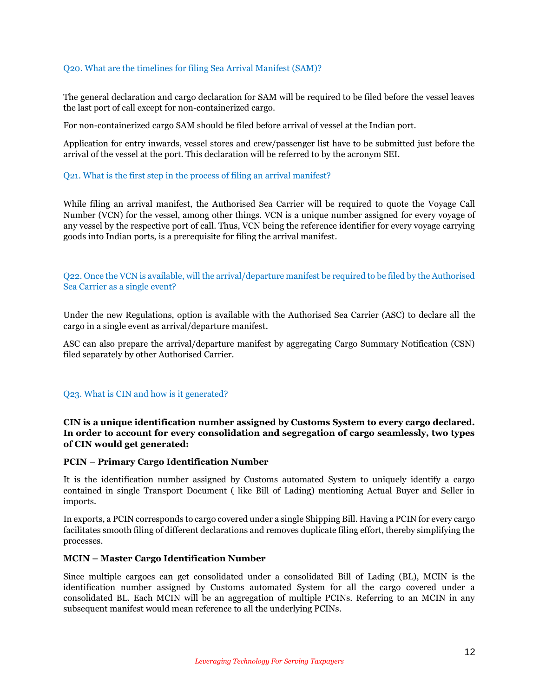## <span id="page-11-0"></span>Q20. What are the timelines for filing Sea Arrival Manifest (SAM)?

The general declaration and cargo declaration for SAM will be required to be filed before the vessel leaves the last port of call except for non-containerized cargo.

For non-containerized cargo SAM should be filed before arrival of vessel at the Indian port.

Application for entry inwards, vessel stores and crew/passenger list have to be submitted just before the arrival of the vessel at the port. This declaration will be referred to by the acronym SEI.

#### <span id="page-11-1"></span>Q21. What is the first step in the process of filing an arrival manifest?

While filing an arrival manifest, the Authorised Sea Carrier will be required to quote the Voyage Call Number (VCN) for the vessel, among other things. VCN is a unique number assigned for every voyage of any vessel by the respective port of call. Thus, VCN being the reference identifier for every voyage carrying goods into Indian ports, is a prerequisite for filing the arrival manifest.

<span id="page-11-2"></span>Q22. Once the VCN is available, will the arrival/departure manifest be required to be filed by the Authorised Sea Carrier as a single event?

Under the new Regulations, option is available with the Authorised Sea Carrier (ASC) to declare all the cargo in a single event as arrival/departure manifest.

ASC can also prepare the arrival/departure manifest by aggregating Cargo Summary Notification (CSN) filed separately by other Authorised Carrier.

#### <span id="page-11-3"></span>Q23. What is CIN and how is it generated?

**CIN is a unique identification number assigned by Customs System to every cargo declared. In order to account for every consolidation and segregation of cargo seamlessly, two types of CIN would get generated:**

#### **PCIN – Primary Cargo Identification Number**

It is the identification number assigned by Customs automated System to uniquely identify a cargo contained in single Transport Document ( like Bill of Lading) mentioning Actual Buyer and Seller in imports.

In exports, a PCIN corresponds to cargo covered under a single Shipping Bill. Having a PCIN for every cargo facilitates smooth filing of different declarations and removes duplicate filing effort, thereby simplifying the processes.

#### **MCIN – Master Cargo Identification Number**

Since multiple cargoes can get consolidated under a consolidated Bill of Lading (BL), MCIN is the identification number assigned by Customs automated System for all the cargo covered under a consolidated BL. Each MCIN will be an aggregation of multiple PCINs. Referring to an MCIN in any subsequent manifest would mean reference to all the underlying PCINs.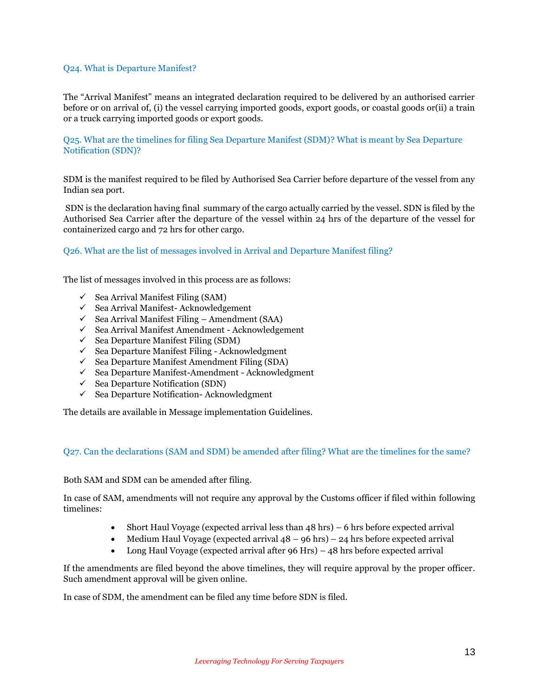### <span id="page-12-0"></span>Q24. What is Departure Manifest?

The "Arrival Manifest" means an integrated declaration required to be delivered by an authorised carrier before or on arrival of, (i) the vessel carrying imported goods, export goods, or coastal goods or(ii) a train or a truck carrying imported goods or export goods.

<span id="page-12-1"></span>Q25. What are the timelines for filing Sea Departure Manifest (SDM)? What is meant by Sea Departure Notification (SDN)?

SDM is the manifest required to be filed by Authorised Sea Carrier before departure of the vessel from any Indian sea port.

SDN is the declaration having final summary of the cargo actually carried by the vessel. SDN is filed by the Authorised Sea Carrier after the departure of the vessel within 24 hrs of the departure of the vessel for containerized cargo and 72 hrs for other cargo.

#### <span id="page-12-2"></span>Q26. What are the list of messages involved in Arrival and Departure Manifest filing?

The list of messages involved in this process are as follows:

- $\checkmark$  Sea Arrival Manifest Filing (SAM)
- $\checkmark$  Sea Arrival Manifest-Acknowledgement
- $\checkmark$  Sea Arrival Manifest Filing Amendment (SAA)
- $\checkmark$  Sea Arrival Manifest Amendment Acknowledgement
- $\checkmark$  Sea Departure Manifest Filing (SDM)
- $\checkmark$  Sea Departure Manifest Filing Acknowledgment
- $\checkmark$  Sea Departure Manifest Amendment Filing (SDA)
- $\checkmark$  Sea Departure Manifest-Amendment Acknowledgment
- $\checkmark$  Sea Departure Notification (SDN)
- $\checkmark$  Sea Departure Notification- Acknowledgment

The details are available in Message implementation Guidelines.

#### <span id="page-12-3"></span>Q27. Can the declarations (SAM and SDM) be amended after filing? What are the timelines for the same?

Both SAM and SDM can be amended after filing.

In case of SAM, amendments will not require any approval by the Customs officer if filed within following timelines:

- Short Haul Voyage (expected arrival less than 48 hrs) 6 hrs before expected arrival
- Medium Haul Voyage (expected arrival  $48 96$  hrs) 24 hrs before expected arrival
- Long Haul Voyage (expected arrival after 96 Hrs) 48 hrs before expected arrival

If the amendments are filed beyond the above timelines, they will require approval by the proper officer. Such amendment approval will be given online.

In case of SDM, the amendment can be filed any time before SDN is filed.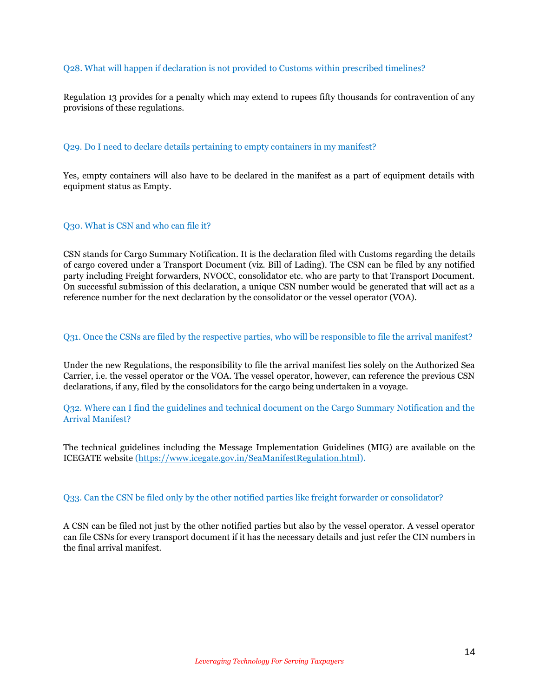## <span id="page-13-0"></span>Q28. What will happen if declaration is not provided to Customs within prescribed timelines?

Regulation 13 provides for a penalty which may extend to rupees fifty thousands for contravention of any provisions of these regulations.

#### <span id="page-13-1"></span>Q29. Do I need to declare details pertaining to empty containers in my manifest?

Yes, empty containers will also have to be declared in the manifest as a part of equipment details with equipment status as Empty.

## <span id="page-13-2"></span>Q30. What is CSN and who can file it?

CSN stands for Cargo Summary Notification. It is the declaration filed with Customs regarding the details of cargo covered under a Transport Document (viz. Bill of Lading). The CSN can be filed by any notified party including Freight forwarders, NVOCC, consolidator etc. who are party to that Transport Document. On successful submission of this declaration, a unique CSN number would be generated that will act as a reference number for the next declaration by the consolidator or the vessel operator (VOA).

## <span id="page-13-3"></span>Q31. Once the CSNs are filed by the respective parties, who will be responsible to file the arrival manifest?

Under the new Regulations, the responsibility to file the arrival manifest lies solely on the Authorized Sea Carrier, i.e. the vessel operator or the VOA. The vessel operator, however, can reference the previous CSN declarations, if any, filed by the consolidators for the cargo being undertaken in a voyage.

<span id="page-13-4"></span>Q32. Where can I find the guidelines and technical document on the Cargo Summary Notification and the Arrival Manifest?

The technical guidelines including the Message Implementation Guidelines (MIG) are available on the ICEGATE website [\(https://www.icegate.gov.in/SeaManifestRegulation.html\)](https://www.icegate.gov.in/SeaManifestRegulation.html).

#### <span id="page-13-5"></span>Q33. Can the CSN be filed only by the other notified parties like freight forwarder or consolidator?

A CSN can be filed not just by the other notified parties but also by the vessel operator. A vessel operator can file CSNs for every transport document if it has the necessary details and just refer the CIN numbers in the final arrival manifest.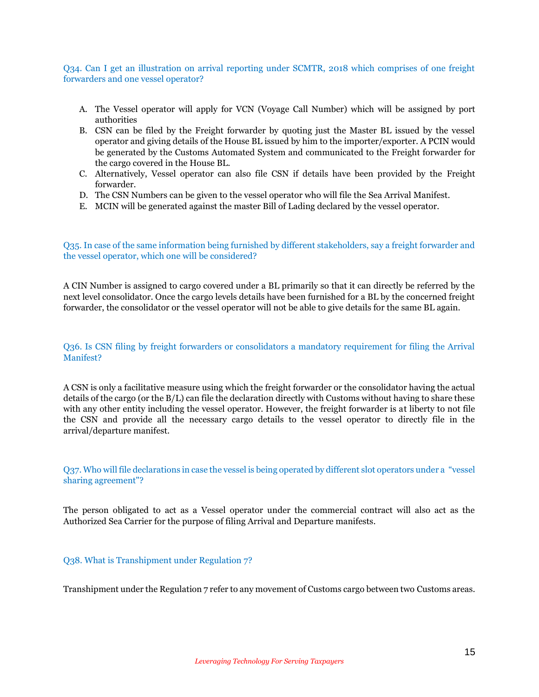## <span id="page-14-0"></span>Q34. Can I get an illustration on arrival reporting under SCMTR, 2018 which comprises of one freight forwarders and one vessel operator?

- A. The Vessel operator will apply for VCN (Voyage Call Number) which will be assigned by port authorities
- B. CSN can be filed by the Freight forwarder by quoting just the Master BL issued by the vessel operator and giving details of the House BL issued by him to the importer/exporter. A PCIN would be generated by the Customs Automated System and communicated to the Freight forwarder for the cargo covered in the House BL.
- C. Alternatively, Vessel operator can also file CSN if details have been provided by the Freight forwarder.
- D. The CSN Numbers can be given to the vessel operator who will file the Sea Arrival Manifest.
- E. MCIN will be generated against the master Bill of Lading declared by the vessel operator.

<span id="page-14-1"></span>Q35. In case of the same information being furnished by different stakeholders, say a freight forwarder and the vessel operator, which one will be considered?

A CIN Number is assigned to cargo covered under a BL primarily so that it can directly be referred by the next level consolidator. Once the cargo levels details have been furnished for a BL by the concerned freight forwarder, the consolidator or the vessel operator will not be able to give details for the same BL again.

## <span id="page-14-2"></span>Q36. Is CSN filing by freight forwarders or consolidators a mandatory requirement for filing the Arrival Manifest?

A CSN is only a facilitative measure using which the freight forwarder or the consolidator having the actual details of the cargo (or the B/L) can file the declaration directly with Customs without having to share these with any other entity including the vessel operator. However, the freight forwarder is at liberty to not file the CSN and provide all the necessary cargo details to the vessel operator to directly file in the arrival/departure manifest.

<span id="page-14-3"></span>Q37. Who will file declarations in case the vessel is being operated by different slot operators under a "vessel sharing agreement"?

The person obligated to act as a Vessel operator under the commercial contract will also act as the Authorized Sea Carrier for the purpose of filing Arrival and Departure manifests.

#### <span id="page-14-4"></span>Q38. What is Transhipment under Regulation 7?

Transhipment under the Regulation 7 refer to any movement of Customs cargo between two Customs areas.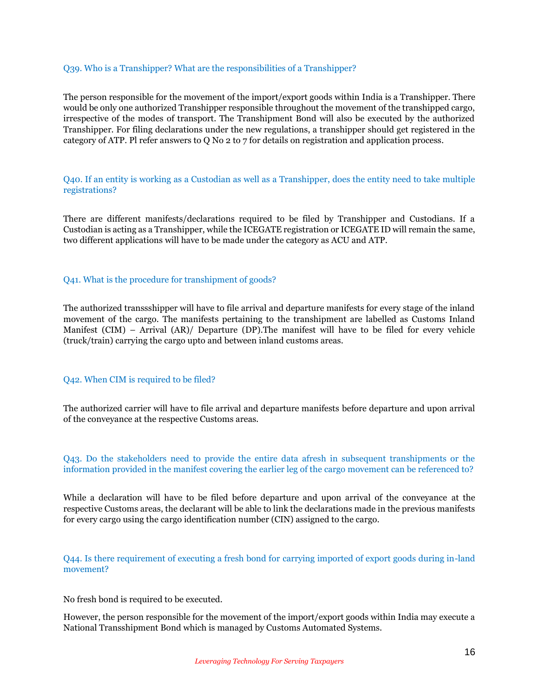### <span id="page-15-0"></span>Q39. Who is a Transhipper? What are the responsibilities of a Transhipper?

The person responsible for the movement of the import/export goods within India is a Transhipper. There would be only one authorized Transhipper responsible throughout the movement of the transhipped cargo, irrespective of the modes of transport. The Transhipment Bond will also be executed by the authorized Transhipper. For filing declarations under the new regulations, a transhipper should get registered in the category of ATP. Pl refer answers to Q No 2 to 7 for details on registration and application process.

<span id="page-15-1"></span>Q40. If an entity is working as a Custodian as well as a Transhipper, does the entity need to take multiple registrations?

There are different manifests/declarations required to be filed by Transhipper and Custodians. If a Custodian is acting as a Transhipper, while the ICEGATE registration or ICEGATE ID will remain the same, two different applications will have to be made under the category as ACU and ATP.

### <span id="page-15-2"></span>Q41. What is the procedure for transhipment of goods?

The authorized transsshipper will have to file arrival and departure manifests for every stage of the inland movement of the cargo. The manifests pertaining to the transhipment are labelled as Customs Inland Manifest (CIM) – Arrival (AR)/ Departure (DP).The manifest will have to be filed for every vehicle (truck/train) carrying the cargo upto and between inland customs areas.

#### <span id="page-15-3"></span>Q42. When CIM is required to be filed?

The authorized carrier will have to file arrival and departure manifests before departure and upon arrival of the conveyance at the respective Customs areas.

## <span id="page-15-4"></span>Q43. Do the stakeholders need to provide the entire data afresh in subsequent transhipments or the information provided in the manifest covering the earlier leg of the cargo movement can be referenced to?

While a declaration will have to be filed before departure and upon arrival of the conveyance at the respective Customs areas, the declarant will be able to link the declarations made in the previous manifests for every cargo using the cargo identification number (CIN) assigned to the cargo.

<span id="page-15-5"></span>Q44. Is there requirement of executing a fresh bond for carrying imported of export goods during in-land movement?

No fresh bond is required to be executed.

However, the person responsible for the movement of the import/export goods within India may execute a National Transshipment Bond which is managed by Customs Automated Systems.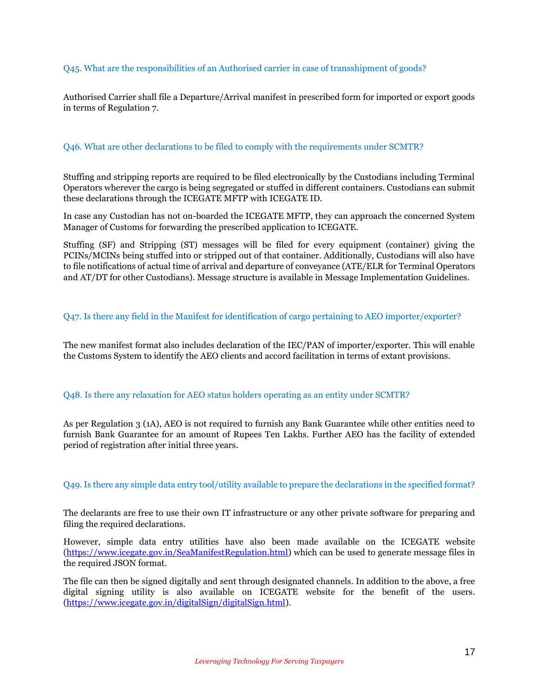## <span id="page-16-0"></span>Q45. What are the responsibilities of an Authorised carrier in case of transshipment of goods?

Authorised Carrier shall file a Departure/Arrival manifest in prescribed form for imported or export goods in terms of Regulation 7.

#### <span id="page-16-1"></span>Q46. What are other declarations to be filed to comply with the requirements under SCMTR?

Stuffing and stripping reports are required to be filed electronically by the Custodians including Terminal Operators wherever the cargo is being segregated or stuffed in different containers. Custodians can submit these declarations through the ICEGATE MFTP with ICEGATE ID.

In case any Custodian has not on-boarded the ICEGATE MFTP, they can approach the concerned System Manager of Customs for forwarding the prescribed application to ICEGATE.

Stuffing (SF) and Stripping (ST) messages will be filed for every equipment (container) giving the PCINs/MCINs being stuffed into or stripped out of that container. Additionally, Custodians will also have to file notifications of actual time of arrival and departure of conveyance (ATE/ELR for Terminal Operators and AT/DT for other Custodians). Message structure is available in Message Implementation Guidelines.

#### <span id="page-16-2"></span>Q47. Is there any field in the Manifest for identification of cargo pertaining to AEO importer/exporter?

The new manifest format also includes declaration of the IEC/PAN of importer/exporter. This will enable the Customs System to identify the AEO clients and accord facilitation in terms of extant provisions.

#### <span id="page-16-3"></span>Q48. Is there any relaxation for AEO status holders operating as an entity under SCMTR?

As per Regulation 3 (1A), AEO is not required to furnish any Bank Guarantee while other entities need to furnish Bank Guarantee for an amount of Rupees Ten Lakhs. Further AEO has the facility of extended period of registration after initial three years.

## <span id="page-16-4"></span>Q49. Is there any simple data entry tool/utility available to prepare the declarations in the specified format?

The declarants are free to use their own IT infrastructure or any other private software for preparing and filing the required declarations.

However, simple data entry utilities have also been made available on the ICEGATE website [\(https://www.icegate.gov.in/SeaManifestRegulation.html\)](https://www.icegate.gov.in/SeaManifestRegulation.html) which can be used to generate message files in the required JSON format.

The file can then be signed digitally and sent through designated channels. In addition to the above, a free digital signing utility is also available on ICEGATE website for the benefit of the users. [\(https://www.icegate.gov.in/digitalSign/digitalSign.html\)](https://www.icegate.gov.in/digitalSign/digitalSign.html).